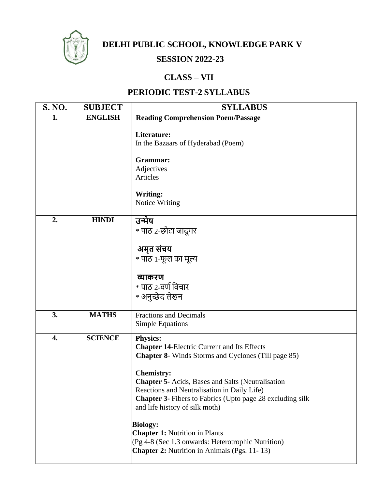

**DELHI PUBLIC SCHOOL, KNOWLEDGE PARK V**

## **SESSION 2022-23**

## **CLASS – VII**

## **PERIODIC TEST-2 SYLLABUS**

| S. NO.           | <b>SUBJECT</b> | <b>SYLLABUS</b>                                                                                                                                                                                                                                                                                                                                                                                                                                                                                                                                    |
|------------------|----------------|----------------------------------------------------------------------------------------------------------------------------------------------------------------------------------------------------------------------------------------------------------------------------------------------------------------------------------------------------------------------------------------------------------------------------------------------------------------------------------------------------------------------------------------------------|
| 1.               | <b>ENGLISH</b> | <b>Reading Comprehension Poem/Passage</b>                                                                                                                                                                                                                                                                                                                                                                                                                                                                                                          |
|                  |                | Literature:<br>In the Bazaars of Hyderabad (Poem)<br>Grammar:<br>Adjectives<br>Articles                                                                                                                                                                                                                                                                                                                                                                                                                                                            |
|                  |                | Writing:<br>Notice Writing                                                                                                                                                                                                                                                                                                                                                                                                                                                                                                                         |
| 2.               | <b>HINDI</b>   | उन्मेष<br>* पाठ २-छोटा जादूगर                                                                                                                                                                                                                                                                                                                                                                                                                                                                                                                      |
|                  |                | अमृत संचय<br>* पाठ 1-फूल का मूल्य                                                                                                                                                                                                                                                                                                                                                                                                                                                                                                                  |
|                  |                | व्याकरण<br>$\,$ * पाठ 2-वर्ण विचार<br>* अनुच्छेद लेखन                                                                                                                                                                                                                                                                                                                                                                                                                                                                                              |
| 3.               | <b>MATHS</b>   | <b>Fractions and Decimals</b><br><b>Simple Equations</b>                                                                                                                                                                                                                                                                                                                                                                                                                                                                                           |
| $\overline{4}$ . | <b>SCIENCE</b> | <b>Physics:</b><br><b>Chapter 14-Electric Current and Its Effects</b><br><b>Chapter 8-</b> Winds Storms and Cyclones (Till page 85)<br><b>Chemistry:</b><br><b>Chapter 5-</b> Acids, Bases and Salts (Neutralisation<br>Reactions and Neutralisation in Daily Life)<br><b>Chapter 3-</b> Fibers to Fabrics (Upto page 28 excluding silk<br>and life history of silk moth)<br><b>Biology:</b><br><b>Chapter 1: Nutrition in Plants</b><br>(Pg 4-8 (Sec 1.3 onwards: Heterotrophic Nutrition)<br><b>Chapter 2:</b> Nutrition in Animals (Pgs. 11-13) |